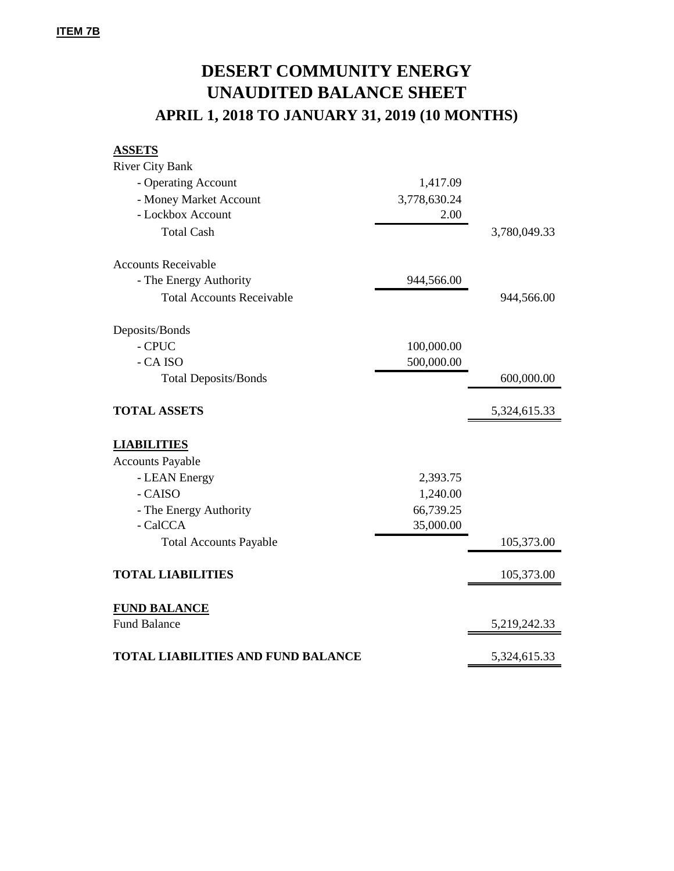## **DESERT COMMUNITY ENERGY UNAUDITED BALANCE SHEET APRIL 1, 2018 TO JANUARY 31, 2019 (10 MONTHS)**

**ASSETS**

| <b>River City Bank</b>                    |              |              |
|-------------------------------------------|--------------|--------------|
| - Operating Account                       | 1,417.09     |              |
| - Money Market Account                    | 3,778,630.24 |              |
| - Lockbox Account                         | 2.00         |              |
| <b>Total Cash</b>                         |              | 3,780,049.33 |
| <b>Accounts Receivable</b>                |              |              |
| - The Energy Authority                    | 944,566.00   |              |
| <b>Total Accounts Receivable</b>          |              | 944,566.00   |
| Deposits/Bonds                            |              |              |
| - CPUC                                    | 100,000.00   |              |
| - CA ISO                                  | 500,000.00   |              |
| <b>Total Deposits/Bonds</b>               |              | 600,000.00   |
| <b>TOTAL ASSETS</b>                       |              | 5,324,615.33 |
| <b>LIABILITIES</b>                        |              |              |
| <b>Accounts Payable</b>                   |              |              |
| - LEAN Energy                             | 2,393.75     |              |
| - CAISO                                   | 1,240.00     |              |
| - The Energy Authority                    | 66,739.25    |              |
| - CalCCA                                  | 35,000.00    |              |
| <b>Total Accounts Payable</b>             |              | 105,373.00   |
| <b>TOTAL LIABILITIES</b>                  |              | 105,373.00   |
| <b>FUND BALANCE</b>                       |              |              |
| <b>Fund Balance</b>                       |              | 5,219,242.33 |
| <b>TOTAL LIABILITIES AND FUND BALANCE</b> |              | 5,324,615.33 |